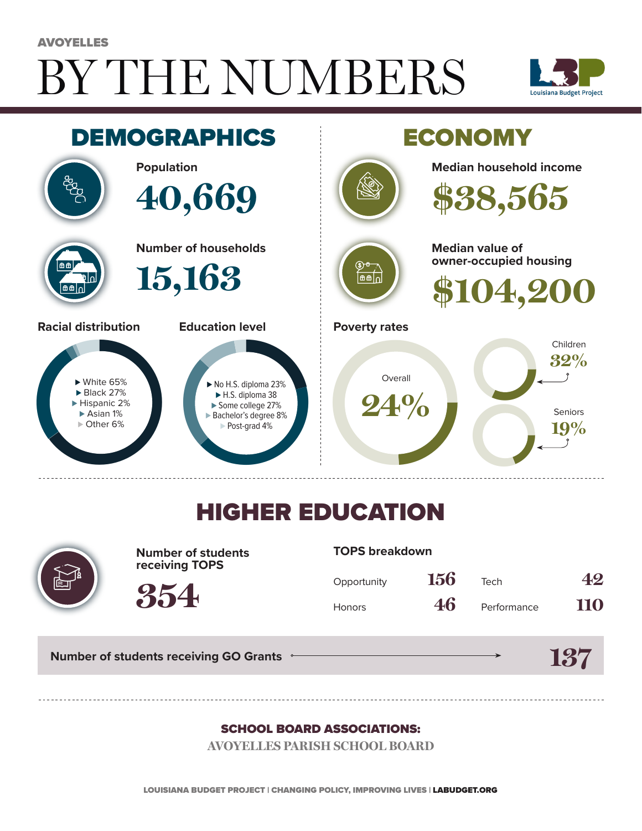# BY THE NUMBERS AVOYELLES





## HIGHER EDUCATION



**Number of students receiving TOPS**

#### **TOPS breakdown**

| Opportunity   | 156 | Tech        | 42  |
|---------------|-----|-------------|-----|
| <b>Honors</b> | 46  | Performance | 110 |

**137**

**Number of students receiving GO Grants**

**354**

#### SCHOOL BOARD ASSOCIATIONS:

**AVOYELLES PARISH SCHOOL BOARD**